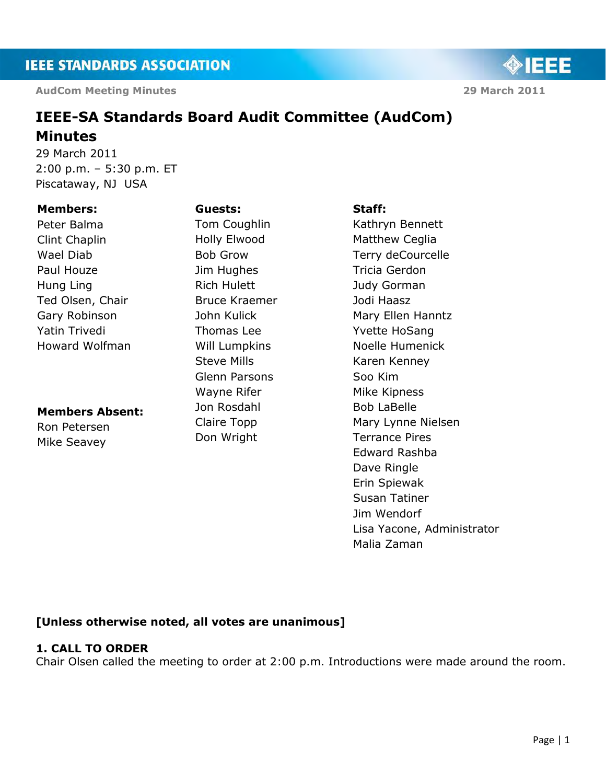**AudCom Meeting Minutes 29 March 2011** 

◈IEEE

# **IEEE-SA Standards Board Audit Committee (AudCom) Minutes**

29 March 2011 2:00 p.m. – 5:30 p.m. ET Piscataway, NJ USA

# **Members:**

Peter Balma Clint Chaplin Wael Diab Paul Houze Hung Ling Ted Olsen, Chair Gary Robinson Yatin Trivedi Howard Wolfman

# **Members Absent:**

Ron Petersen Mike Seavey

Tom Coughlin Holly Elwood Bob Grow Jim Hughes Rich Hulett Bruce Kraemer John Kulick Thomas Lee Will Lumpkins Steve Mills Glenn Parsons Wayne Rifer Jon Rosdahl Claire Topp Don Wright

**Guests:**

#### **Staff:**

Kathryn Bennett Matthew Ceglia Terry deCourcelle Tricia Gerdon Judy Gorman Jodi Haasz Mary Ellen Hanntz Yvette HoSang Noelle Humenick Karen Kenney Soo Kim Mike Kipness Bob LaBelle Mary Lynne Nielsen Terrance Pires Edward Rashba Dave Ringle Erin Spiewak Susan Tatiner Jim Wendorf Lisa Yacone, Administrator Malia Zaman

# **[Unless otherwise noted, all votes are unanimous]**

# **1. CALL TO ORDER**

Chair Olsen called the meeting to order at 2:00 p.m. Introductions were made around the room.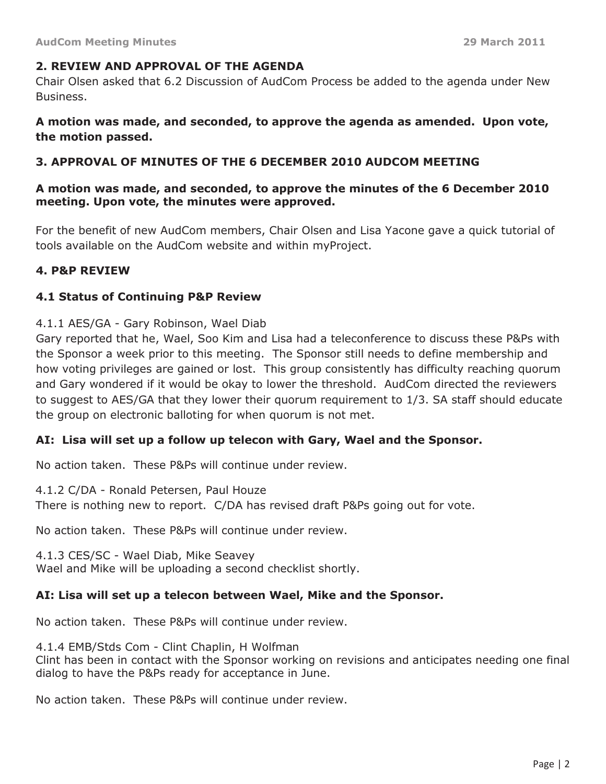# **2. REVIEW AND APPROVAL OF THE AGENDA**

Chair Olsen asked that 6.2 Discussion of AudCom Process be added to the agenda under New Business.

**A motion was made, and seconded, to approve the agenda as amended. Upon vote, the motion passed.**

# **3. APPROVAL OF MINUTES OF THE 6 DECEMBER 2010 AUDCOM MEETING**

# **A motion was made, and seconded, to approve the minutes of the 6 December 2010 meeting. Upon vote, the minutes were approved.**

For the benefit of new AudCom members, Chair Olsen and Lisa Yacone gave a quick tutorial of tools available on the AudCom website and within myProject.

# **4. P&P REVIEW**

#### **4.1 Status of Continuing P&P Review**

#### 4.1.1 AES/GA - Gary Robinson, Wael Diab

Gary reported that he, Wael, Soo Kim and Lisa had a teleconference to discuss these P&Ps with the Sponsor a week prior to this meeting. The Sponsor still needs to define membership and how voting privileges are gained or lost. This group consistently has difficulty reaching quorum and Gary wondered if it would be okay to lower the threshold. AudCom directed the reviewers to suggest to AES/GA that they lower their quorum requirement to 1/3. SA staff should educate the group on electronic balloting for when quorum is not met.

# **AI: Lisa will set up a follow up telecon with Gary, Wael and the Sponsor.**

No action taken. These P&Ps will continue under review.

4.1.2 C/DA - Ronald Petersen, Paul Houze

There is nothing new to report. C/DA has revised draft P&Ps going out for vote.

No action taken. These P&Ps will continue under review.

4.1.3 CES/SC - Wael Diab, Mike Seavey Wael and Mike will be uploading a second checklist shortly.

# **AI: Lisa will set up a telecon between Wael, Mike and the Sponsor.**

No action taken. These P&Ps will continue under review.

4.1.4 EMB/Stds Com - Clint Chaplin, H Wolfman

Clint has been in contact with the Sponsor working on revisions and anticipates needing one final dialog to have the P&Ps ready for acceptance in June.

No action taken. These P&Ps will continue under review.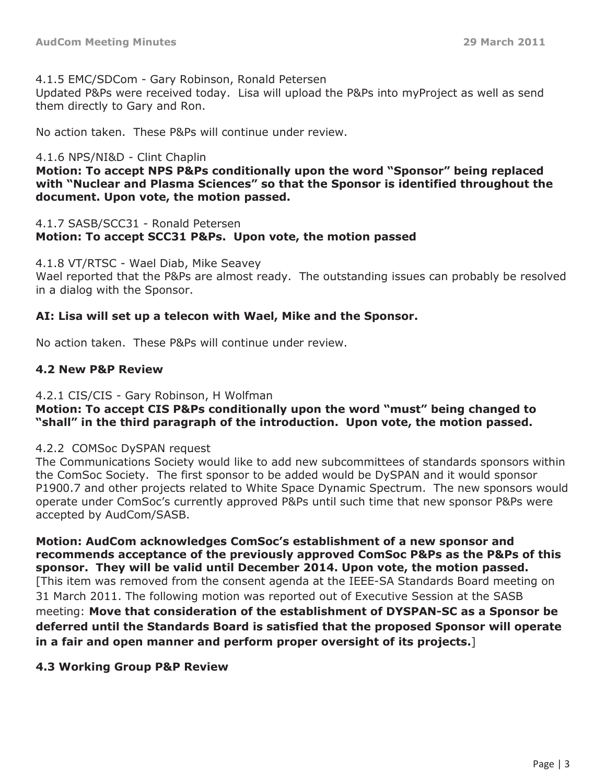#### 4.1.5 EMC/SDCom - Gary Robinson, Ronald Petersen

Updated P&Ps were received today. Lisa will upload the P&Ps into myProject as well as send them directly to Gary and Ron.

No action taken. These P&Ps will continue under review.

#### 4.1.6 NPS/NI&D - Clint Chaplin

**Motion: To accept NPS P&Ps conditionally upon the word "Sponsor" being replaced with "Nuclear and Plasma Sciences" so that the Sponsor is identified throughout the document. Upon vote, the motion passed.**

#### 4.1.7 SASB/SCC31 - Ronald Petersen **Motion: To accept SCC31 P&Ps. Upon vote, the motion passed**

4.1.8 VT/RTSC - Wael Diab, Mike Seavey Wael reported that the P&Ps are almost ready. The outstanding issues can probably be resolved in a dialog with the Sponsor.

# **AI: Lisa will set up a telecon with Wael, Mike and the Sponsor.**

No action taken. These P&Ps will continue under review.

# **4.2 New P&P Review**

# 4.2.1 CIS/CIS - Gary Robinson, H Wolfman

# **Motion: To accept CIS P&Ps conditionally upon the word "must" being changed to "shall" in the third paragraph of the introduction. Upon vote, the motion passed.**

# 4.2.2 COMSoc DySPAN request

The Communications Society would like to add new subcommittees of standards sponsors within the ComSoc Society. The first sponsor to be added would be DySPAN and it would sponsor P1900.7 and other projects related to White Space Dynamic Spectrum. The new sponsors would operate under ComSoc's currently approved P&Ps until such time that new sponsor P&Ps were accepted by AudCom/SASB.

**Motion: AudCom acknowledges ComSoc's establishment of a new sponsor and recommends acceptance of the previously approved ComSoc P&Ps as the P&Ps of this sponsor. They will be valid until December 2014. Upon vote, the motion passed.** [This item was removed from the consent agenda at the IEEE-SA Standards Board meeting on 31 March 2011. The following motion was reported out of Executive Session at the SASB meeting: **Move that consideration of the establishment of DYSPAN-SC as a Sponsor be deferred until the Standards Board is satisfied that the proposed Sponsor will operate in a fair and open manner and perform proper oversight of its projects.**]

# **4.3 Working Group P&P Review**